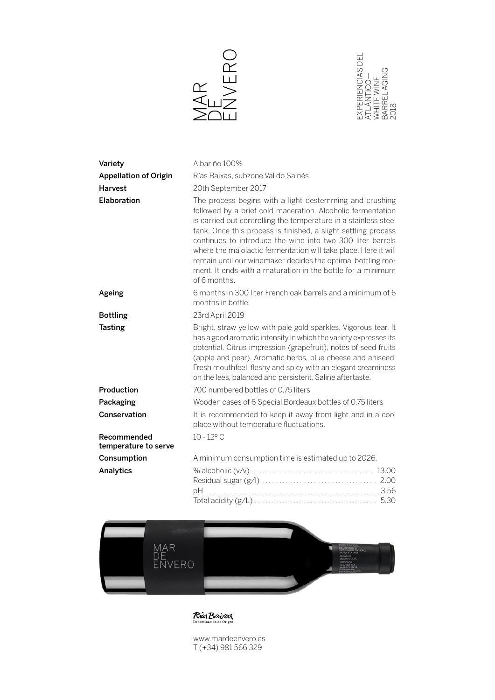



| Variety                             | Albariño 100%                                                                                                                                                                                                                                                                                                                                                                                                                                                                                                                              |
|-------------------------------------|--------------------------------------------------------------------------------------------------------------------------------------------------------------------------------------------------------------------------------------------------------------------------------------------------------------------------------------------------------------------------------------------------------------------------------------------------------------------------------------------------------------------------------------------|
| <b>Appellation of Origin</b>        | Rías Baixas, subzone Val do Salnés                                                                                                                                                                                                                                                                                                                                                                                                                                                                                                         |
| <b>Harvest</b>                      | 20th September 2017                                                                                                                                                                                                                                                                                                                                                                                                                                                                                                                        |
| Elaboration                         | The process begins with a light destemming and crushing<br>followed by a brief cold maceration. Alcoholic fermentation<br>is carried out controlling the temperature in a stainless steel<br>tank. Once this process is finished, a slight settling process<br>continues to introduce the wine into two 300 liter barrels<br>where the malolactic fermentation will take place. Here it will<br>remain until our winemaker decides the optimal bottling mo-<br>ment. It ends with a maturation in the bottle for a minimum<br>of 6 months. |
| Ageing                              | 6 months in 300 liter French oak barrels and a minimum of 6<br>months in bottle.                                                                                                                                                                                                                                                                                                                                                                                                                                                           |
| <b>Bottling</b>                     | 23rd April 2019                                                                                                                                                                                                                                                                                                                                                                                                                                                                                                                            |
| <b>Tasting</b>                      | Bright, straw yellow with pale gold sparkles. Vigorous tear. It<br>has a good aromatic intensity in which the variety expresses its<br>potential. Citrus impression (grapefruit), notes of seed fruits<br>(apple and pear). Aromatic herbs, blue cheese and aniseed.<br>Fresh mouthfeel, fleshy and spicy with an elegant creaminess<br>on the lees, balanced and persistent. Saline aftertaste.                                                                                                                                           |
| Production                          | 700 numbered bottles of 0.75 liters                                                                                                                                                                                                                                                                                                                                                                                                                                                                                                        |
| Packaging                           | Wooden cases of 6 Special Bordeaux bottles of 0.75 liters                                                                                                                                                                                                                                                                                                                                                                                                                                                                                  |
| Conservation                        | It is recommended to keep it away from light and in a cool<br>place without temperature fluctuations.                                                                                                                                                                                                                                                                                                                                                                                                                                      |
| Recommended<br>temperature to serve | $10 - 12^{\circ}$ C                                                                                                                                                                                                                                                                                                                                                                                                                                                                                                                        |
| Consumption                         | A minimum consumption time is estimated up to 2026.                                                                                                                                                                                                                                                                                                                                                                                                                                                                                        |
| Analytics                           |                                                                                                                                                                                                                                                                                                                                                                                                                                                                                                                                            |



**Rias Baixas** 

www.mardeenvero.es T (+34) 981 566 329